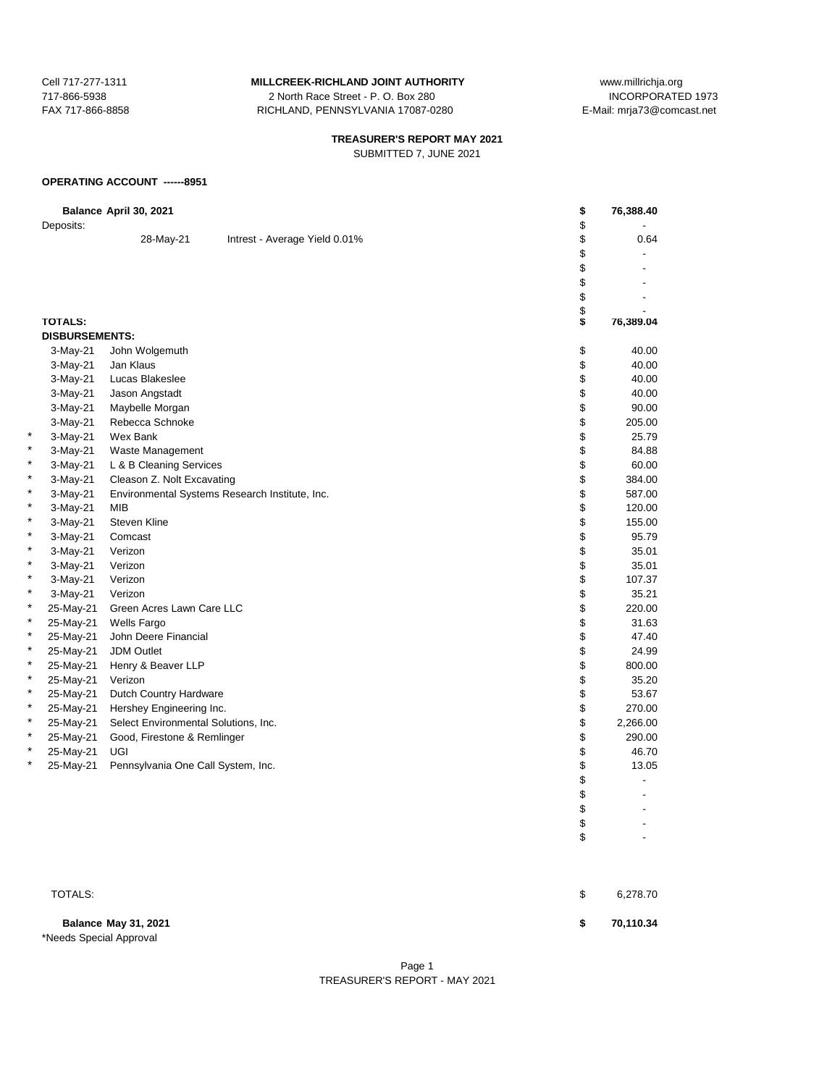717-866-5938 2 North Race Street - P. O. Box 280 FAX 717-866-8858 RICHLAND, PENNSYLVANIA 17087-0280 E-Mail: mrja73@comcast.net

# **TREASURER'S REPORT MAY 2021**

SUBMITTED 7, JUNE 2021

#### **OPERATING ACCOUNT ------8951**

|   |                       | Balance April 30, 2021               |                                                | \$       | 76,388.40 |
|---|-----------------------|--------------------------------------|------------------------------------------------|----------|-----------|
|   | Deposits:             |                                      |                                                | \$       |           |
|   |                       | 28-May-21                            | Intrest - Average Yield 0.01%                  | \$       | 0.64      |
|   |                       |                                      |                                                | \$<br>\$ |           |
|   |                       |                                      |                                                | \$       |           |
|   |                       |                                      |                                                | \$       |           |
|   |                       |                                      |                                                |          |           |
|   | <b>TOTALS:</b>        |                                      |                                                | \$       | 76,389.04 |
|   | <b>DISBURSEMENTS:</b> |                                      |                                                |          |           |
|   | 3-May-21              | John Wolgemuth                       |                                                | \$       | 40.00     |
|   | 3-May-21              | Jan Klaus                            |                                                | \$       | 40.00     |
|   | $3-May-21$            | Lucas Blakeslee                      |                                                | \$       | 40.00     |
|   | 3-May-21              | Jason Angstadt                       |                                                | \$       | 40.00     |
|   | 3-May-21              | Maybelle Morgan                      |                                                | \$       | 90.00     |
|   | 3-May-21              | Rebecca Schnoke                      |                                                | \$       | 205.00    |
|   | 3-May-21              | Wex Bank                             |                                                | \$       | 25.79     |
|   | 3-May-21              | Waste Management                     |                                                | \$       | 84.88     |
| * | 3-May-21              | L & B Cleaning Services              |                                                | \$       | 60.00     |
| * | 3-May-21              | Cleason Z. Nolt Excavating           |                                                | \$       | 384.00    |
| * | 3-May-21              |                                      | Environmental Systems Research Institute, Inc. | \$       | 587.00    |
| * | 3-May-21              | <b>MIB</b>                           |                                                | \$       | 120.00    |
| * | 3-May-21              | <b>Steven Kline</b>                  |                                                | \$       | 155.00    |
| * | $3-May-21$            | Comcast                              |                                                | \$       | 95.79     |
| * | 3-May-21              | Verizon                              |                                                | \$       | 35.01     |
| * | 3-May-21              | Verizon                              |                                                | \$       | 35.01     |
| * | 3-May-21              | Verizon                              |                                                | \$       | 107.37    |
| × | 3-May-21              | Verizon                              |                                                | \$       | 35.21     |
| * | 25-May-21             | Green Acres Lawn Care LLC            |                                                | \$       | 220.00    |
| * | 25-May-21             | <b>Wells Fargo</b>                   |                                                | \$       | 31.63     |
| * | 25-May-21             | John Deere Financial                 |                                                | \$       | 47.40     |
| * | 25-May-21             | <b>JDM Outlet</b>                    |                                                | \$       | 24.99     |
| * | 25-May-21             | Henry & Beaver LLP                   |                                                | \$       | 800.00    |
| * | 25-May-21             | Verizon                              |                                                | \$       | 35.20     |
| * | 25-May-21             | Dutch Country Hardware               |                                                | \$       | 53.67     |
| * | 25-May-21             | Hershey Engineering Inc.             |                                                | \$       | 270.00    |
| * | 25-May-21             | Select Environmental Solutions, Inc. |                                                | \$       | 2,266.00  |
| * | 25-May-21             | Good, Firestone & Remlinger          |                                                | \$       | 290.00    |
| * | 25-May-21             | UGI                                  |                                                | \$       | 46.70     |
| * | 25-May-21             | Pennsylvania One Call System, Inc.   |                                                | \$       | 13.05     |
|   |                       |                                      |                                                | \$       |           |
|   |                       |                                      |                                                | \$       |           |
|   |                       |                                      |                                                | \$       |           |

\*Needs Special Approval

 $\texttt{TOTALS:}\quad \texttt{\$} \qquad \texttt{6,278.70}$ 

 $\updownarrow$  $\updownarrow$ 

**Balance May 31, 2021 \$ 70,110.34**

### Page 1 TREASURER'S REPORT - MAY 2021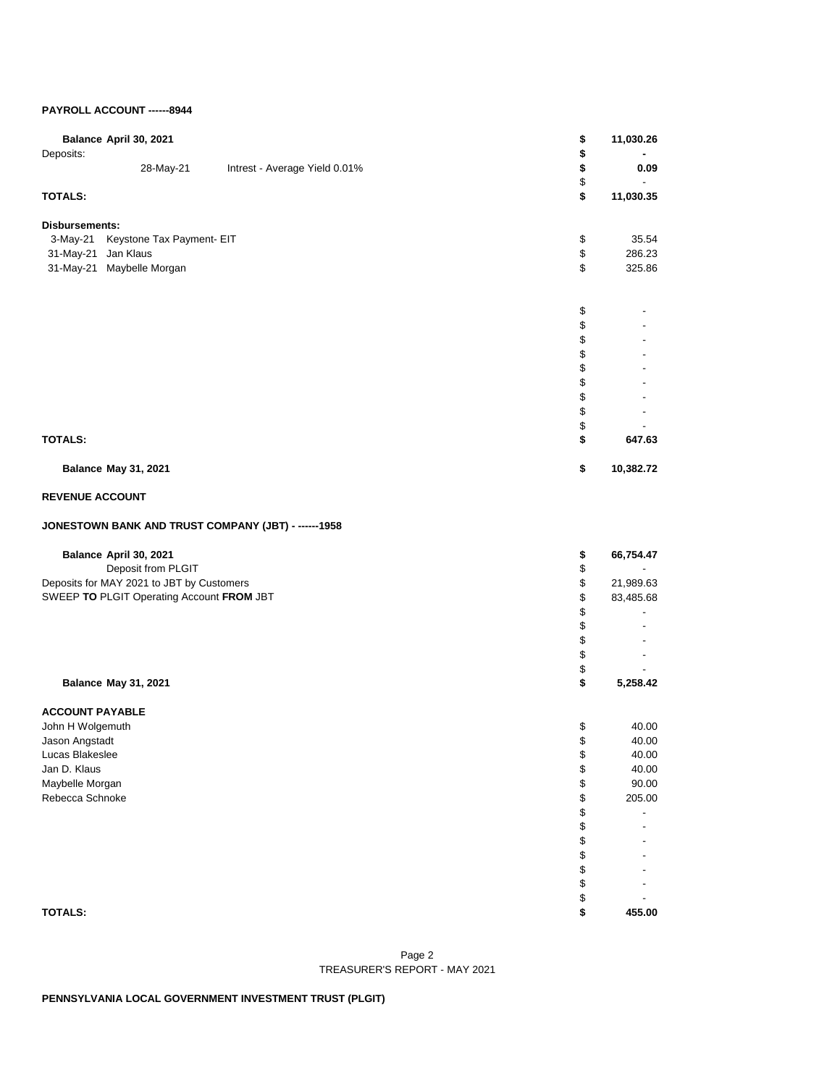### **PAYROLL ACCOUNT ------8944**

| Balance April 30, 2021      |                                           |                                                      | \$       | 11,030.26 |
|-----------------------------|-------------------------------------------|------------------------------------------------------|----------|-----------|
| Deposits:                   |                                           |                                                      | \$       |           |
|                             | 28-May-21                                 | Intrest - Average Yield 0.01%                        | \$       | 0.09      |
| <b>TOTALS:</b>              |                                           |                                                      | \$<br>\$ | 11,030.35 |
|                             |                                           |                                                      |          |           |
| Disbursements:              |                                           |                                                      |          |           |
| 3-May-21                    | Keystone Tax Payment- EIT                 |                                                      | \$       | 35.54     |
| 31-May-21                   | Jan Klaus                                 |                                                      | \$       | 286.23    |
| 31-May-21 Maybelle Morgan   |                                           |                                                      | \$       | 325.86    |
|                             |                                           |                                                      | \$       |           |
|                             |                                           |                                                      | \$       |           |
|                             |                                           |                                                      | \$       |           |
|                             |                                           |                                                      | \$       |           |
|                             |                                           |                                                      | \$       |           |
|                             |                                           |                                                      | \$       |           |
|                             |                                           |                                                      | \$       |           |
|                             |                                           |                                                      | \$       |           |
|                             |                                           |                                                      | \$       |           |
| <b>TOTALS:</b>              |                                           |                                                      | \$       | 647.63    |
| <b>Balance May 31, 2021</b> |                                           |                                                      | \$       | 10,382.72 |
| <b>REVENUE ACCOUNT</b>      |                                           |                                                      |          |           |
|                             |                                           | JONESTOWN BANK AND TRUST COMPANY (JBT) - ------ 1958 |          |           |
| Balance April 30, 2021      |                                           |                                                      | \$       | 66,754.47 |
|                             | Deposit from PLGIT                        |                                                      | \$       |           |
|                             | Deposits for MAY 2021 to JBT by Customers |                                                      | \$       | 21,989.63 |
|                             | SWEEP TO PLGIT Operating Account FROM JBT |                                                      | \$       | 83,485.68 |
|                             |                                           |                                                      | \$       |           |
|                             |                                           |                                                      | \$       |           |
|                             |                                           |                                                      | \$       |           |
|                             |                                           |                                                      | \$<br>\$ |           |
| <b>Balance May 31, 2021</b> |                                           |                                                      | \$       | 5,258.42  |
| <b>ACCOUNT PAYABLE</b>      |                                           |                                                      |          |           |
| John H Wolgemuth            |                                           |                                                      | \$       | 40.00     |
| Jason Angstadt              |                                           |                                                      | \$       | 40.00     |
| Lucas Blakeslee             |                                           |                                                      | \$       | 40.00     |
| Jan D. Klaus                |                                           |                                                      | \$       | 40.00     |
| Maybelle Morgan             |                                           |                                                      | \$       | 90.00     |
| Rebecca Schnoke             |                                           |                                                      | \$       | 205.00    |
|                             |                                           |                                                      | \$       |           |
|                             |                                           |                                                      | \$       |           |
|                             |                                           |                                                      | \$<br>\$ |           |
|                             |                                           |                                                      | \$       |           |
|                             |                                           |                                                      | \$       |           |
|                             |                                           |                                                      | \$       |           |
| <b>TOTALS:</b>              |                                           |                                                      | \$       | 455.00    |